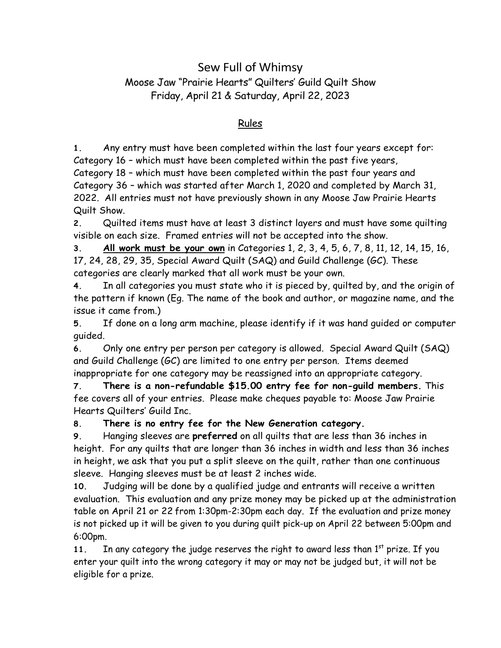## Sew Full of Whimsy Moose Jaw "Prairie Hearts" Quilters' Guild Quilt Show Friday, April 21 & Saturday, April 22, 2023

## Rules

**1.** Any entry must have been completed within the last four years except for: Category 16 – which must have been completed within the past five years, Category 18 – which must have been completed within the past four years and Category 36 – which was started after March 1, 2020 and completed by March 31, 2022. All entries must not have previously shown in any Moose Jaw Prairie Hearts Quilt Show.

**2.** Quilted items must have at least 3 distinct layers and must have some quilting visible on each size. Framed entries will not be accepted into the show.

**3. All work must be your own** in Categories 1, 2, 3, 4, 5, 6, 7, 8, 11, 12, 14, 15, 16, 17, 24, 28, 29, 35, Special Award Quilt (SAQ) and Guild Challenge (GC). These categories are clearly marked that all work must be your own.

**4.** In all categories you must state who it is pieced by, quilted by, and the origin of the pattern if known (Eg. The name of the book and author, or magazine name, and the issue it came from.)

**5.** If done on a long arm machine, please identify if it was hand guided or computer guided.

**6.** Only one entry per person per category is allowed. Special Award Quilt (SAQ) and Guild Challenge (GC) are limited to one entry per person. Items deemed inappropriate for one category may be reassigned into an appropriate category.

**7. There is a non-refundable \$15.00 entry fee for non-guild members.** This fee covers all of your entries. Please make cheques payable to: Moose Jaw Prairie Hearts Quilters' Guild Inc.

**8. There is no entry fee for the New Generation category.**

**9.** Hanging sleeves are **preferred** on all quilts that are less than 36 inches in height. For any quilts that are longer than 36 inches in width and less than 36 inches in height, we ask that you put a split sleeve on the quilt, rather than one continuous sleeve. Hanging sleeves must be at least 2 inches wide.

**10.** Judging will be done by a qualified judge and entrants will receive a written evaluation. This evaluation and any prize money may be picked up at the administration table on April 21 or 22 from 1:30pm-2:30pm each day. If the evaluation and prize money is not picked up it will be given to you during quilt pick-up on April 22 between 5:00pm and 6:00pm.

11. In any category the judge reserves the right to award less than 1<sup>st</sup> prize. If you enter your quilt into the wrong category it may or may not be judged but, it will not be eligible for a prize.